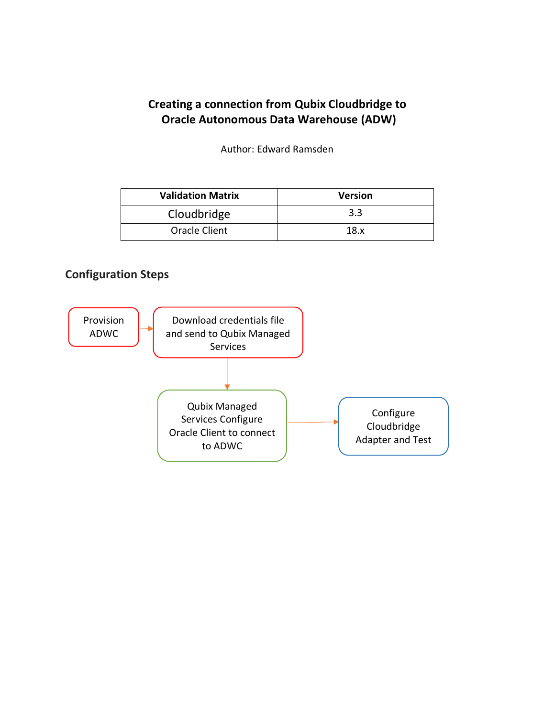# **Creating a connection from Qubix Cloudbridge to Oracle Autonomous Data Warehouse (ADW)**

Author: Edward Ramsden

| <b>Validation Matrix</b> | <b>Version</b> |
|--------------------------|----------------|
| Cloudbridge              | 3.3            |
| Oracle Client            | 18.x           |

### **Configuration Steps**

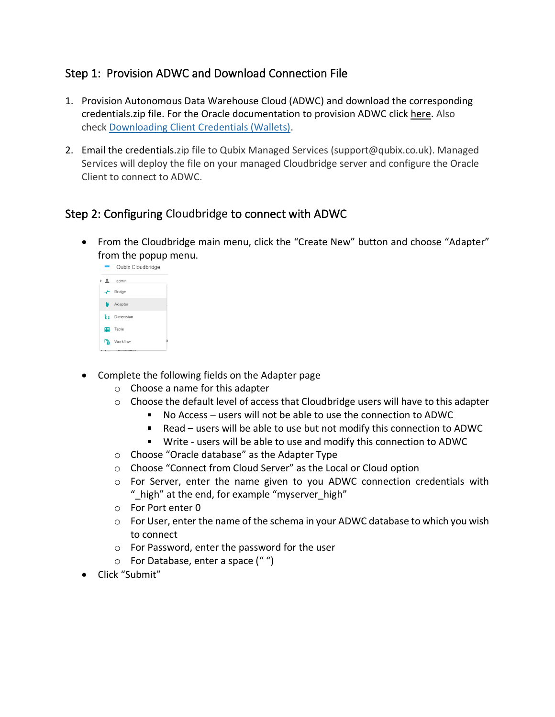## Step 1: Provision ADWC and Download Connection File

- 1. Provision Autonomous Data Warehouse Cloud (ADWC) and download the corresponding credentials.zip file. For the Oracle documentation to provision ADWC click [here.](http://www.oracle.com/webfolder/technetwork/tutorials/obe/cloud/adwc/OBE_Provisioning_Autonomous_Data_Warehouse_Cloud_bak/provisioning_autonomous_data_warehouse_cloud_v2.html) Also check [Downloading Client Credentials \(Wallets\).](https://docs.oracle.com/en/cloud/paas/autonomous-data-warehouse-cloud/user/connect-download-wallet.html#GUID-B06202D2-0597-41AA-9481-3B174F75D4B1)
- 2. Email the credentials.zip file to Qubix Managed Services (support@qubix.co.uk). Managed Services will deploy the file on your managed Cloudbridge server and configure the Oracle Client to connect to ADWC.

# Step 2: Configuring Cloudbridge to connect with ADWC

• From the Cloudbridge main menu, click the "Create New" button and choose "Adapter" from the popup menu.<br> $\equiv$  Qubix Cloudbridge



- Complete the following fields on the Adapter page
	- o Choose a name for this adapter
	- $\circ$  Choose the default level of access that Cloudbridge users will have to this adapter
		- $\blacksquare$ No Access – users will not be able to use the connection to ADWC
		- $\mathbf{u}$  . Read – users will be able to use but not modify this connection to ADWC
		- Write users will be able to use and modify this connection to ADWC
	- o Choose "Oracle database" as the Adapter Type
	- o Choose "Connect from Cloud Server" as the Local or Cloud option
	- $\circ$  For Server, enter the name given to you ADWC connection credentials with " high" at the end, for example "myserver high"
	- o For Port enter 0
	- $\circ$  For User, enter the name of the schema in your ADWC database to which you wish to connect
	- o For Password, enter the password for the user
	- o For Database, enter a space (" ")
- Click "Submit"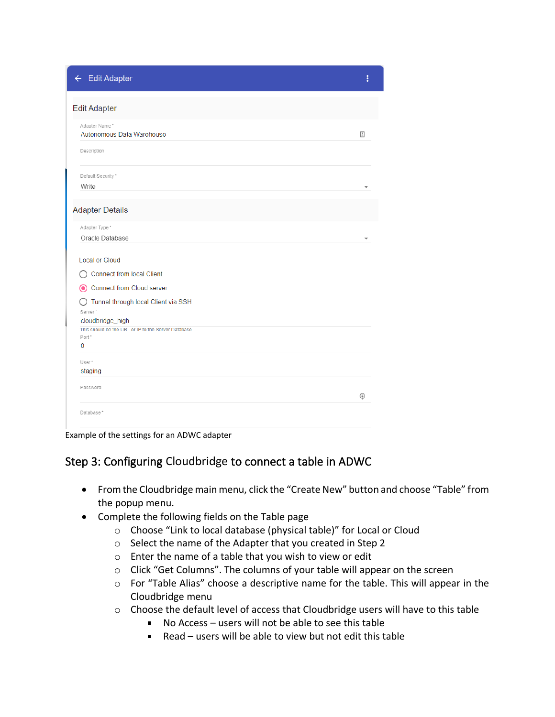← Edit Adapter

| <b>Edit Adapter</b>                                                     |   |
|-------------------------------------------------------------------------|---|
| Adapter Name*                                                           |   |
| Autonomous Data Warehouse                                               | 固 |
| Description                                                             |   |
| Default Security *                                                      |   |
| Write                                                                   |   |
| <b>Adapter Details</b>                                                  |   |
| Adapter Type *                                                          |   |
| Oracle Database                                                         |   |
| <b>Local or Cloud</b><br><b>Connect from local Client</b>               |   |
| Connect from Cloud server                                               |   |
| Tunnel through local Client via SSH                                     |   |
| Server*                                                                 |   |
| cloudbridge_high<br>This should be the URL or IP to the Server Database |   |
| Port*                                                                   |   |
| 0                                                                       |   |
| User*                                                                   |   |
| staging                                                                 |   |
| Password                                                                |   |
|                                                                         | ⊕ |
| Database*                                                               |   |
|                                                                         |   |

Example of the settings for an ADWC adapter

### Step 3: Configuring Cloudbridge to connect a table in ADWC

• From the Cloudbridge main menu, click the "Create New" button and choose "Table" from the popup menu.

ŧ

- Complete the following fields on the Table page
	- o Choose "Link to local database (physical table)" for Local or Cloud
	- o Select the name of the Adapter that you created in Step 2
	- o Enter the name of a table that you wish to view or edit
	- o Click "Get Columns". The columns of your table will appear on the screen
	- o For "Table Alias" choose a descriptive name for the table. This will appear in the Cloudbridge menu
	- o Choose the default level of access that Cloudbridge users will have to this table
		- No Access users will not be able to see this table  $\mathbf{u}$  .
		- Read users will be able to view but not edit this table $\blacksquare$